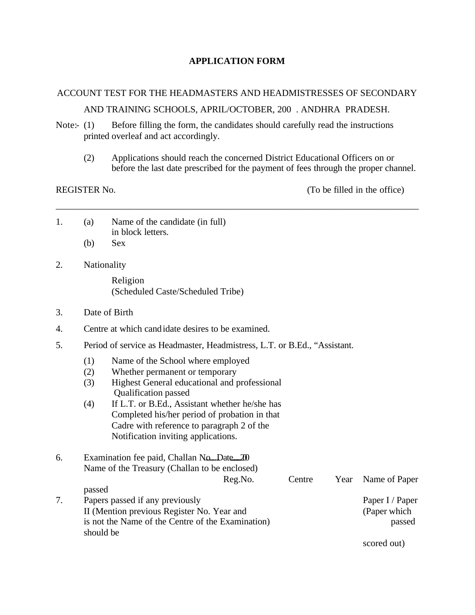### **APPLICATION FORM**

# ACCOUNT TEST FOR THE HEADMASTERS AND HEADMISTRESSES OF SECONDARY AND TRAINING SCHOOLS, APRIL/OCTOBER, 200 . ANDHRA PRADESH.

\_\_\_\_\_\_\_\_\_\_\_\_\_\_\_\_\_\_\_\_\_\_\_\_\_\_\_\_\_\_\_\_\_\_\_\_\_\_\_\_\_\_\_\_\_\_\_\_\_\_\_\_\_\_\_\_\_\_\_\_\_\_\_\_\_\_\_\_\_\_\_\_\_\_\_\_\_\_

Note:- (1) Before filling the form, the candidates should carefully read the instructions printed overleaf and act accordingly.

(2) Applications should reach the concerned District Educational Officers on or before the last date prescribed for the payment of fees through the proper channel.

REGISTER No. (To be filled in the office)

| (a) | Name of the candidate (in full) |  |  |
|-----|---------------------------------|--|--|
|     | in block letters.               |  |  |
|     | $(b)$ Sex                       |  |  |

2. Nationality

Religion (Scheduled Caste/Scheduled Tribe)

- 3. Date of Birth
- 4. Centre at which candidate desires to be examined.
- 5. Period of service as Headmaster, Headmistress, L.T. or B.Ed., "Assistant.
	- (1) Name of the School where employed
	- (2) Whether permanent or temporary
	- (3) Highest General educational and professional Qualification passed
	- (4) If L.T. or B.Ed., Assistant whether he/she has Completed his/her period of probation in that Cadre with reference to paragraph 2 of the Notification inviting applications.
- 6. Examination fee paid, Challan No....Date  $\hat{x}$ Name of the Treasury (Challan to be enclosed) Reg.No. Centre Year Name of Paper passed 7. Papers passed if any previously **Paper I** / Paper I / Paper I / Paper II (Mention previous Register No. Year and (Paper which is not the Name of the Centre of the Examination) passed should be

scored out)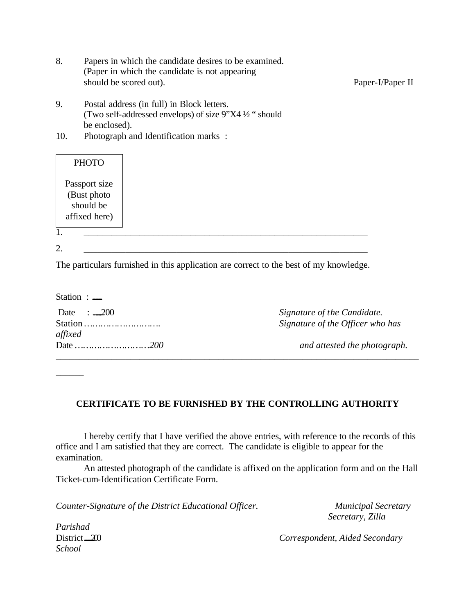- 8. Papers in which the candidate desires to be examined. (Paper in which the candidate is not appearing should be scored out). Paper-I/Paper II
- 9. Postal address (in full) in Block letters. (Two self-addressed envelops) of size 9"X4 ½ " should be enclosed).
- 10. Photograph and Identification marks :

| <b>PHOTO</b>                                               |  |  |  |
|------------------------------------------------------------|--|--|--|
| Passport size<br>(Bust photo<br>should be<br>affixed here) |  |  |  |
| 1.<br>2.                                                   |  |  |  |

The particulars furnished in this application are correct to the best of my knowledge.

| Station $:=$          |                                  |
|-----------------------|----------------------------------|
| Date $\therefore$ 200 | Signature of the Candidate.      |
| Station<br>affixed    | Signature of the Officer who has |
| Date          200     | and attested the photograph.     |

# **CERTIFICATE TO BE FURNISHED BY THE CONTROLLING AUTHORITY**

I hereby certify that I have verified the above entries, with reference to the records of this office and I am satisfied that they are correct. The candidate is eligible to appear for the examination.

An attested photograph of the candidate is affixed on the application form and on the Hall Ticket-cum-Identification Certificate Form.

*Counter-Signature of the District Educational Officer. Municipal Secretary*

 *Secretary, Zilla* 

*Parishad School*

*\_\_\_\_\_\_*

District <u>200</u> *Correspondent, Aided Secondary*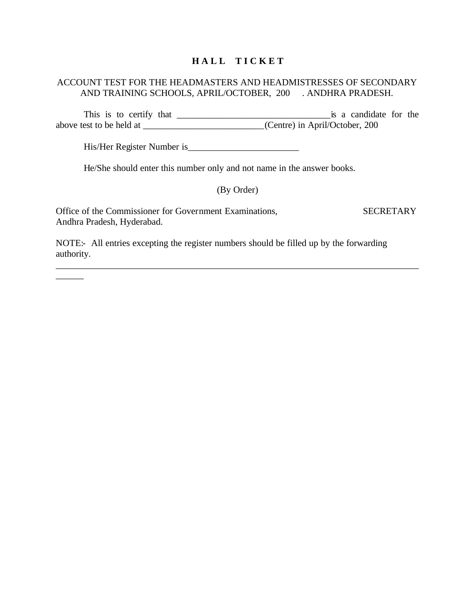# **H A L L T I C K E T**

#### ACCOUNT TEST FOR THE HEADMASTERS AND HEADMISTRESSES OF SECONDARY AND TRAINING SCHOOLS, APRIL/OCTOBER, 200 . ANDHRA PRADESH.

This is to certify that \_\_\_\_\_\_\_\_\_\_\_\_\_\_\_\_\_\_\_\_\_\_\_\_\_\_\_\_\_\_\_\_\_is a candidate for the above test to be held at \_\_\_\_\_\_\_\_\_\_\_\_\_\_\_\_\_\_\_\_\_\_\_\_\_\_(Centre) in April/October, 200

His/Her Register Number is\_\_\_\_\_\_\_\_\_\_\_\_\_\_\_\_\_\_\_\_\_\_\_\_

\_\_\_\_\_\_

He/She should enter this number only and not name in the answer books.

### (By Order)

\_\_\_\_\_\_\_\_\_\_\_\_\_\_\_\_\_\_\_\_\_\_\_\_\_\_\_\_\_\_\_\_\_\_\_\_\_\_\_\_\_\_\_\_\_\_\_\_\_\_\_\_\_\_\_\_\_\_\_\_\_\_\_\_\_\_\_\_\_\_\_\_\_\_\_\_\_\_

Office of the Commissioner for Government Examinations, SECRETARY Andhra Pradesh, Hyderabad.

NOTE:- All entries excepting the register numbers should be filled up by the forwarding authority.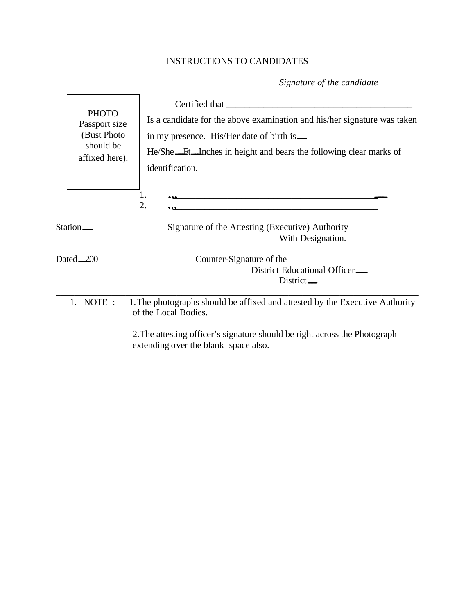# INSTRUCTIONS TO CANDIDATES

*Signature of the candidate* 

|                      | <b>PHOTO</b><br>Passport size<br>(Bust Photo)<br>should be<br>affixed here). | Certified that<br>Is a candidate for the above examination and his/her signature was taken<br>in my presence. His/Her date of birth is —<br>He/She Ft Inches in height and bears the following clear marks of<br>identification. |
|----------------------|------------------------------------------------------------------------------|----------------------------------------------------------------------------------------------------------------------------------------------------------------------------------------------------------------------------------|
| Station <sub>—</sub> |                                                                              | 1.<br>2.<br>Signature of the Attesting (Executive) Authority                                                                                                                                                                     |
|                      |                                                                              | With Designation.                                                                                                                                                                                                                |
|                      | Dated 200                                                                    | Counter-Signature of the<br>District Educational Officer<br>$District$ <sub>—</sub>                                                                                                                                              |
|                      | 1. NOTE:                                                                     | 1. The photographs should be affixed and attested by the Executive Authority<br>of the Local Bodies.                                                                                                                             |
|                      |                                                                              | 2. The attesting officer's signature should be right across the Photograph                                                                                                                                                       |

extending over the blank space also.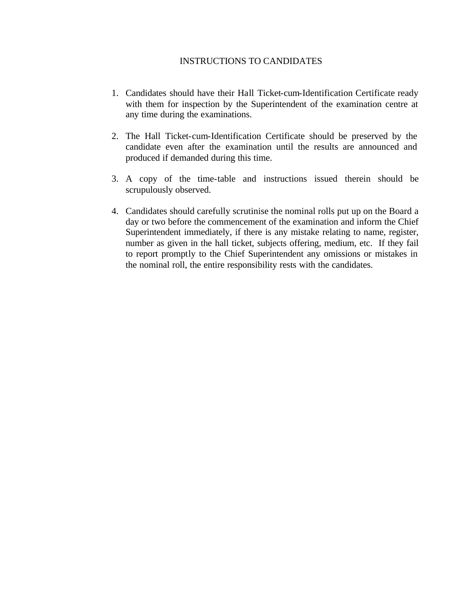#### INSTRUCTIONS TO CANDIDATES

- 1. Candidates should have their Hall Ticket-cum-Identification Certificate ready with them for inspection by the Superintendent of the examination centre at any time during the examinations.
- 2. The Hall Ticket-cum-Identification Certificate should be preserved by the candidate even after the examination until the results are announced and produced if demanded during this time.
- 3. A copy of the time-table and instructions issued therein should be scrupulously observed.
- 4. Candidates should carefully scrutinise the nominal rolls put up on the Board a day or two before the commencement of the examination and inform the Chief Superintendent immediately, if there is any mistake relating to name, register, number as given in the hall ticket, subjects offering, medium, etc. If they fail to report promptly to the Chief Superintendent any omissions or mistakes in the nominal roll, the entire responsibility rests with the candidates.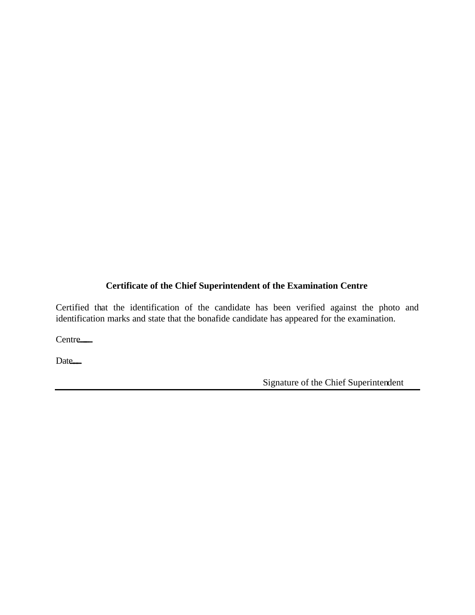# **Certificate of the Chief Superintendent of the Examination Centre**

Certified that the identification of the candidate has been verified against the photo and identification marks and state that the bonafide candidate has appeared for the examination.

Centre<sub>—</sub>

Date<sub>—</sub>

Signature of the Chief Superintendent